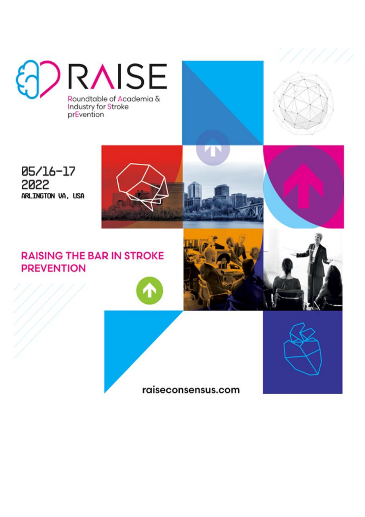



05/16-17 2022 ARLINGTON VA, USA





# **RAISING THE BAR IN STROKE PREVENTION**







raiseconsensus.com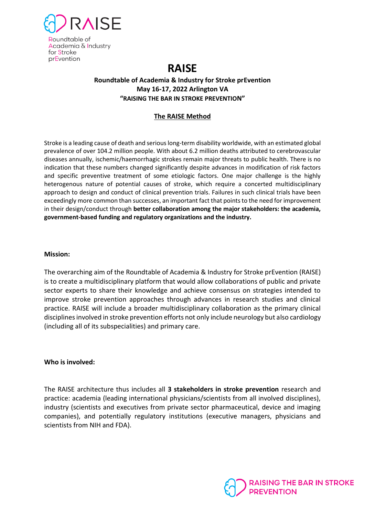

Academia & Industry for Stroke prEvention

# **RAISE**

## **Roundtable of Academia & Industry for Stroke prEvention May 16-17, 2022 Arlington VA "RAISING THE BAR IN STROKE PREVENTION"**

## **The RAISE Method**

Stroke is a leading cause of death and serious long-term disability worldwide, with an estimated global prevalence of over 104.2 million people. With about 6.2 million deaths attributed to cerebrovascular diseases annually, ischemic/haemorrhagic strokes remain major threats to public health. There is no indication that these numbers changed significantly despite advances in modification of risk factors and specific preventive treatment of some etiologic factors. One major challenge is the highly heterogenous nature of potential causes of stroke, which require a concerted multidisciplinary approach to design and conduct of clinical prevention trials. Failures in such clinical trials have been exceedingly more common than successes, an important fact that points to the need for improvement in their design/conduct through **better collaboration among the major stakeholders: the academia, government-based funding and regulatory organizations and the industry.** 

#### **Mission:**

The overarching aim of the Roundtable of Academia & Industry for Stroke prEvention (RAISE) is to create a multidisciplinary platform that would allow collaborations of public and private sector experts to share their knowledge and achieve consensus on strategies intended to improve stroke prevention approaches through advances in research studies and clinical practice. RAISE will include a broader multidisciplinary collaboration as the primary clinical disciplines involved in stroke prevention efforts not only include neurology but also cardiology (including all of its subspecialities) and primary care.

#### **Who is involved:**

The RAISE architecture thus includes all **3 stakeholders in stroke prevention** research and practice: academia (leading international physicians/scientists from all involved disciplines), industry (scientists and executives from private sector pharmaceutical, device and imaging companies), and potentially regulatory institutions (executive managers, physicians and scientists from NIH and FDA).

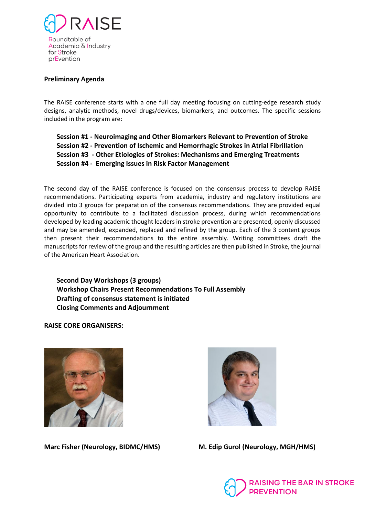

### **Preliminary Agenda**

The RAISE conference starts with a one full day meeting focusing on cutting-edge research study designs, analytic methods, novel drugs/devices, biomarkers, and outcomes. The specific sessions included in the program are:

**Session #1 - Neuroimaging and Other Biomarkers Relevant to Prevention of Stroke Session #2 - Prevention of Ischemic and Hemorrhagic Strokes in Atrial Fibrillation Session #3 - Other Etiologies of Strokes: Mechanisms and Emerging Treatments Session #4 - Emerging Issues in Risk Factor Management**

The second day of the RAISE conference is focused on the consensus process to develop RAISE recommendations. Participating experts from academia, industry and regulatory institutions are divided into 3 groups for preparation of the consensus recommendations. They are provided equal opportunity to contribute to a facilitated discussion process, during which recommendations developed by leading academic thought leaders in stroke prevention are presented, openly discussed and may be amended, expanded, replaced and refined by the group. Each of the 3 content groups then present their recommendations to the entire assembly. Writing committees draft the manuscripts for review of the group and the resulting articles are then published in Stroke, the journal of the American Heart Association.

**Second Day Workshops (3 groups) Workshop Chairs Present Recommendations To Full Assembly Drafting of consensus statement is initiated Closing Comments and Adjournment**

**RAISE CORE ORGANISERS:**



Marc Fisher (Neurology, BIDMC/HMS) M. Edip Gurol (Neurology, MGH/HMS)